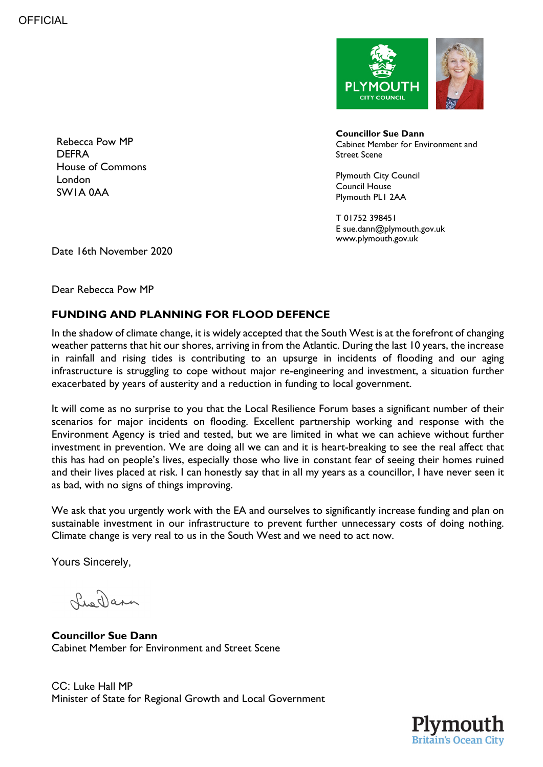

Rebecca Pow MP **DEFRA** House of Commons London SW1A 0AA

**Councillor Sue Dann** Cabinet Member for Environment and Street Scene

Plymouth City Council Council House Plymouth PL1 2AA

T 01752 398451 E sue.dann@plymouth.gov.uk www.plymouth.gov.uk

Date 16th November 2020

Dear Rebecca Pow MP

## **FUNDING AND PLANNING FOR FLOOD DEFENCE**

In the shadow of climate change, it is widely accepted that the South West is at the forefront of changing weather patterns that hit our shores, arriving in from the Atlantic. During the last 10 years, the increase in rainfall and rising tides is contributing to an upsurge in incidents of flooding and our aging infrastructure is struggling to cope without major re-engineering and investment, a situation further exacerbated by years of austerity and a reduction in funding to local government.

It will come as no surprise to you that the Local Resilience Forum bases a significant number of their scenarios for major incidents on flooding. Excellent partnership working and response with the Environment Agency is tried and tested, but we are limited in what we can achieve without further investment in prevention. We are doing all we can and it is heart-breaking to see the real affect that this has had on people's lives, especially those who live in constant fear of seeing their homes ruined and their lives placed at risk. I can honestly say that in all my years as a councillor, I have never seen it as bad, with no signs of things improving.

We ask that you urgently work with the EA and ourselves to significantly increase funding and plan on sustainable investment in our infrastructure to prevent further unnecessary costs of doing nothing. Climate change is very real to us in the South West and we need to act now.

Yours Sincerely,

LueDarn

**Councillor Sue Dann** Cabinet Member for Environment and Street Scene

CC: Luke Hall MP Minister of State for Regional Growth and Local Government